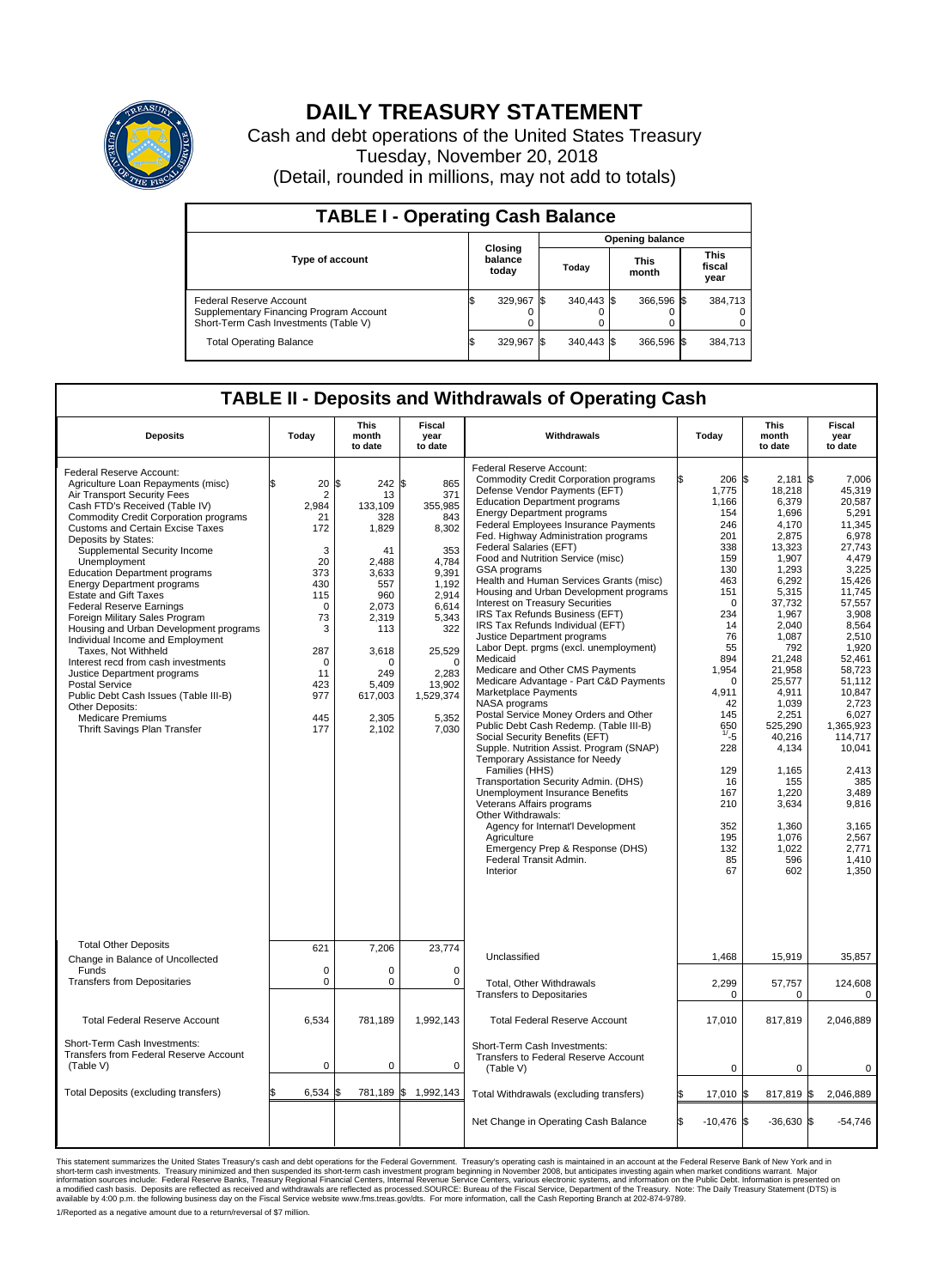

## **DAILY TREASURY STATEMENT**

Cash and debt operations of the United States Treasury Tuesday, November 20, 2018 (Detail, rounded in millions, may not add to totals)

| <b>TABLE I - Operating Cash Balance</b>                                                                     |                             |            |       |                        |                      |            |                               |         |  |  |  |
|-------------------------------------------------------------------------------------------------------------|-----------------------------|------------|-------|------------------------|----------------------|------------|-------------------------------|---------|--|--|--|
|                                                                                                             |                             |            |       | <b>Opening balance</b> |                      |            |                               |         |  |  |  |
| <b>Type of account</b>                                                                                      | Closing<br>balance<br>today |            | Today |                        | <b>This</b><br>month |            | <b>This</b><br>fiscal<br>year |         |  |  |  |
| Federal Reserve Account<br>Supplementary Financing Program Account<br>Short-Term Cash Investments (Table V) |                             | 329,967    |       | 340.443 \$             |                      | 366.596 \$ |                               | 384,713 |  |  |  |
| <b>Total Operating Balance</b>                                                                              |                             | 329,967 \$ |       | 340.443 \$             |                      | 366,596 \$ |                               | 384,713 |  |  |  |

## **TABLE II - Deposits and Withdrawals of Operating Cash**

| <b>Deposits</b>                                                                                                                                                                                                                                                                                                                                                                                                                                                                                                                                                                                                                                                                                                                                                                                          | Today                                                                                                                                                        | This<br>month<br>to date                                                                                                                                                          | Fiscal<br>year<br>to date                                                                                                                                                         | Withdrawals                                                                                                                                                                                                                                                                                                                                                                                                                                                                                                                                                                                                                                                                                                                                                                                                                                                                                                                                                                                                                                                                                                                                                                                                                                           | Today                                                                                                                                                                                                                                                        | <b>This</b><br>month<br>to date                                                                                                                                                                                                                                                                                      | Fiscal<br>year<br>to date                                                                                                                                                                                                                                                                                                      |
|----------------------------------------------------------------------------------------------------------------------------------------------------------------------------------------------------------------------------------------------------------------------------------------------------------------------------------------------------------------------------------------------------------------------------------------------------------------------------------------------------------------------------------------------------------------------------------------------------------------------------------------------------------------------------------------------------------------------------------------------------------------------------------------------------------|--------------------------------------------------------------------------------------------------------------------------------------------------------------|-----------------------------------------------------------------------------------------------------------------------------------------------------------------------------------|-----------------------------------------------------------------------------------------------------------------------------------------------------------------------------------|-------------------------------------------------------------------------------------------------------------------------------------------------------------------------------------------------------------------------------------------------------------------------------------------------------------------------------------------------------------------------------------------------------------------------------------------------------------------------------------------------------------------------------------------------------------------------------------------------------------------------------------------------------------------------------------------------------------------------------------------------------------------------------------------------------------------------------------------------------------------------------------------------------------------------------------------------------------------------------------------------------------------------------------------------------------------------------------------------------------------------------------------------------------------------------------------------------------------------------------------------------|--------------------------------------------------------------------------------------------------------------------------------------------------------------------------------------------------------------------------------------------------------------|----------------------------------------------------------------------------------------------------------------------------------------------------------------------------------------------------------------------------------------------------------------------------------------------------------------------|--------------------------------------------------------------------------------------------------------------------------------------------------------------------------------------------------------------------------------------------------------------------------------------------------------------------------------|
| Federal Reserve Account:<br>Agriculture Loan Repayments (misc)<br>Air Transport Security Fees<br>Cash FTD's Received (Table IV)<br><b>Commodity Credit Corporation programs</b><br><b>Customs and Certain Excise Taxes</b><br>Deposits by States:<br>Supplemental Security Income<br>Unemployment<br><b>Education Department programs</b><br><b>Energy Department programs</b><br><b>Estate and Gift Taxes</b><br><b>Federal Reserve Earnings</b><br>Foreign Military Sales Program<br>Housing and Urban Development programs<br>Individual Income and Employment<br>Taxes, Not Withheld<br>Interest recd from cash investments<br>Justice Department programs<br>Postal Service<br>Public Debt Cash Issues (Table III-B)<br>Other Deposits:<br><b>Medicare Premiums</b><br>Thrift Savings Plan Transfer | 20<br>$\overline{2}$<br>2,984<br>21<br>172<br>3<br>20<br>373<br>430<br>115<br>$\mathbf 0$<br>73<br>3<br>287<br>$\mathbf 0$<br>11<br>423<br>977<br>445<br>177 | $242$ \$<br>l\$<br>13<br>133,109<br>328<br>1,829<br>41<br>2,488<br>3,633<br>557<br>960<br>2,073<br>2,319<br>113<br>3,618<br>$\Omega$<br>249<br>5,409<br>617,003<br>2,305<br>2,102 | 865<br>371<br>355,985<br>843<br>8,302<br>353<br>4,784<br>9,391<br>1,192<br>2.914<br>6,614<br>5,343<br>322<br>25,529<br>$\Omega$<br>2.283<br>13,902<br>1,529,374<br>5,352<br>7,030 | <b>Federal Reserve Account:</b><br><b>Commodity Credit Corporation programs</b><br>Defense Vendor Payments (EFT)<br><b>Education Department programs</b><br><b>Energy Department programs</b><br>Federal Employees Insurance Payments<br>Fed. Highway Administration programs<br>Federal Salaries (EFT)<br>Food and Nutrition Service (misc)<br>GSA programs<br>Health and Human Services Grants (misc)<br>Housing and Urban Development programs<br>Interest on Treasury Securities<br>IRS Tax Refunds Business (EFT)<br>IRS Tax Refunds Individual (EFT)<br>Justice Department programs<br>Labor Dept. prgms (excl. unemployment)<br>Medicaid<br>Medicare and Other CMS Payments<br>Medicare Advantage - Part C&D Payments<br>Marketplace Payments<br>NASA programs<br>Postal Service Money Orders and Other<br>Public Debt Cash Redemp. (Table III-B)<br>Social Security Benefits (EFT)<br>Supple. Nutrition Assist. Program (SNAP)<br>Temporary Assistance for Needy<br>Families (HHS)<br>Transportation Security Admin. (DHS)<br>Unemployment Insurance Benefits<br>Veterans Affairs programs<br>Other Withdrawals:<br>Agency for Internat'l Development<br>Agriculture<br>Emergency Prep & Response (DHS)<br>Federal Transit Admin.<br>Interior | 206 \$<br>1,775<br>1.166<br>154<br>246<br>201<br>338<br>159<br>130<br>463<br>151<br>$\Omega$<br>234<br>14<br>76<br>55<br>894<br>1,954<br>$\mathbf 0$<br>4,911<br>42<br>145<br>650<br>1/25<br>228<br>129<br>16<br>167<br>210<br>352<br>195<br>132<br>85<br>67 | $2,181$ \$<br>18,218<br>6,379<br>1,696<br>4,170<br>2,875<br>13,323<br>1,907<br>1,293<br>6,292<br>5,315<br>37,732<br>1,967<br>2,040<br>1,087<br>792<br>21,248<br>21,958<br>25,577<br>4,911<br>1.039<br>2,251<br>525,290<br>40,216<br>4,134<br>1,165<br>155<br>1,220<br>3,634<br>1,360<br>1.076<br>1,022<br>596<br>602 | 7,006<br>45,319<br>20.587<br>5,291<br>11,345<br>6,978<br>27.743<br>4,479<br>3,225<br>15,426<br>11,745<br>57,557<br>3,908<br>8,564<br>2,510<br>1,920<br>52.461<br>58,723<br>51.112<br>10,847<br>2.723<br>6,027<br>1,365,923<br>114,717<br>10,041<br>2,413<br>385<br>3,489<br>9,816<br>3,165<br>2,567<br>2.771<br>1,410<br>1,350 |
| <b>Total Other Deposits</b><br>Change in Balance of Uncollected                                                                                                                                                                                                                                                                                                                                                                                                                                                                                                                                                                                                                                                                                                                                          | 621                                                                                                                                                          | 7,206                                                                                                                                                                             | 23,774                                                                                                                                                                            | Unclassified                                                                                                                                                                                                                                                                                                                                                                                                                                                                                                                                                                                                                                                                                                                                                                                                                                                                                                                                                                                                                                                                                                                                                                                                                                          | 1,468                                                                                                                                                                                                                                                        | 15,919                                                                                                                                                                                                                                                                                                               | 35,857                                                                                                                                                                                                                                                                                                                         |
| Funds<br><b>Transfers from Depositaries</b>                                                                                                                                                                                                                                                                                                                                                                                                                                                                                                                                                                                                                                                                                                                                                              | $\mathbf 0$<br>$\mathbf 0$                                                                                                                                   | 0<br>0                                                                                                                                                                            | 0<br>$\mathbf 0$                                                                                                                                                                  | Total, Other Withdrawals<br><b>Transfers to Depositaries</b>                                                                                                                                                                                                                                                                                                                                                                                                                                                                                                                                                                                                                                                                                                                                                                                                                                                                                                                                                                                                                                                                                                                                                                                          | 2,299<br>$\mathbf 0$                                                                                                                                                                                                                                         | 57,757<br>0                                                                                                                                                                                                                                                                                                          | 124,608<br>0                                                                                                                                                                                                                                                                                                                   |
| <b>Total Federal Reserve Account</b>                                                                                                                                                                                                                                                                                                                                                                                                                                                                                                                                                                                                                                                                                                                                                                     | 6,534                                                                                                                                                        | 781,189                                                                                                                                                                           | 1,992,143                                                                                                                                                                         | <b>Total Federal Reserve Account</b>                                                                                                                                                                                                                                                                                                                                                                                                                                                                                                                                                                                                                                                                                                                                                                                                                                                                                                                                                                                                                                                                                                                                                                                                                  | 17,010                                                                                                                                                                                                                                                       | 817,819                                                                                                                                                                                                                                                                                                              | 2,046,889                                                                                                                                                                                                                                                                                                                      |
| Short-Term Cash Investments:<br>Transfers from Federal Reserve Account<br>(Table V)                                                                                                                                                                                                                                                                                                                                                                                                                                                                                                                                                                                                                                                                                                                      | $\mathbf 0$                                                                                                                                                  | 0                                                                                                                                                                                 | $\Omega$                                                                                                                                                                          | Short-Term Cash Investments:<br>Transfers to Federal Reserve Account<br>(Table V)                                                                                                                                                                                                                                                                                                                                                                                                                                                                                                                                                                                                                                                                                                                                                                                                                                                                                                                                                                                                                                                                                                                                                                     | 0                                                                                                                                                                                                                                                            | 0                                                                                                                                                                                                                                                                                                                    | 0                                                                                                                                                                                                                                                                                                                              |
| Total Deposits (excluding transfers)                                                                                                                                                                                                                                                                                                                                                                                                                                                                                                                                                                                                                                                                                                                                                                     | 6.534                                                                                                                                                        |                                                                                                                                                                                   | 781,189 \$ 1,992,143                                                                                                                                                              | Total Withdrawals (excluding transfers)                                                                                                                                                                                                                                                                                                                                                                                                                                                                                                                                                                                                                                                                                                                                                                                                                                                                                                                                                                                                                                                                                                                                                                                                               | 17,010 \$<br>ß.                                                                                                                                                                                                                                              | 817,819 \$                                                                                                                                                                                                                                                                                                           | 2,046,889                                                                                                                                                                                                                                                                                                                      |
|                                                                                                                                                                                                                                                                                                                                                                                                                                                                                                                                                                                                                                                                                                                                                                                                          |                                                                                                                                                              |                                                                                                                                                                                   |                                                                                                                                                                                   | Net Change in Operating Cash Balance                                                                                                                                                                                                                                                                                                                                                                                                                                                                                                                                                                                                                                                                                                                                                                                                                                                                                                                                                                                                                                                                                                                                                                                                                  | Ŝ.<br>$-10,476$ \$                                                                                                                                                                                                                                           | $-36,630$ \$                                                                                                                                                                                                                                                                                                         | $-54,746$                                                                                                                                                                                                                                                                                                                      |

This statement summarizes the United States Treasury's cash and debt operations for the Federal Government. Treasury soperating in November 2008, but anticiarded in a cocount at the Federal Reserve Bank of New York and in<br>

1/Reported as a negative amount due to a return/reversal of \$7 million.